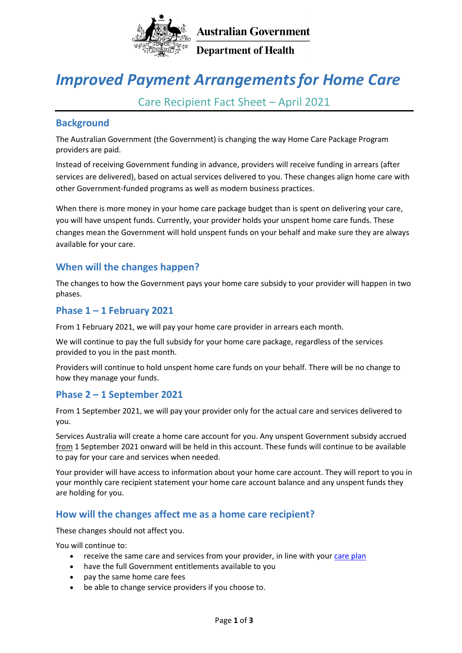

**Department of Health** 

# *Improved Payment Arrangementsfor Home Care*

Care Recipient Fact Sheet – April 2021

### **Background**

The Australian Government (the Government) is changing the way Home Care Package Program providers are paid.

Instead of receiving Government funding in advance, providers will receive funding in arrears (after services are delivered), based on actual services delivered to you. These changes align home care with other Government-funded programs as well as modern business practices.

When there is more money in your home care package budget than is spent on delivering your care, you will have unspent funds. Currently, your provider holds your unspent home care funds. These changes mean the Government will hold unspent funds on your behalf and make sure they are always available for your care.

## **When will the changes happen?**

The changes to how the Government pays your home care subsidy to your provider will happen in two phases.

## **Phase 1 – 1 February 2021**

From 1 February 2021, we will pay your home care provider in arrears each month.

We will continue to pay the full subsidy for your home care package, regardless of the services provided to you in the past month.

Providers will continue to hold unspent home care funds on your behalf. There will be no change to how they [manage your funds.](https://www.health.gov.au/initiatives-and-programs/home-care-packages-program/managing-home-care-packages/managing-unspent-funds-in-home-care-packages)

## **Phase 2 – 1 September 2021**

From 1 September 2021, we will pay your provider only for the actual care and services delivered to you.

Services Australia will create a home care account for you. Any unspent Government subsidy accrued from 1 September 2021 onward will be held in this account. These funds will continue to be available to pay for your care and services when needed.

Your provider will have access to information about your home care account. They will report to you in your monthly care recipient statement your home care account balance and any unspent funds they are holding for you.

## **How will the changes affect me as a home care recipient?**

These changes should not affect you.

You will continue to:

- receive the same care and services from your provider, in line with your [care plan](https://www.health.gov.au/initiatives-and-programs/home-care-packages-program/managing-home-care-packages/care-plans-for-home-care-packages)
- have the full Government entitlements available to you
- pay the same home care fees
- be able to change service providers if you choose to.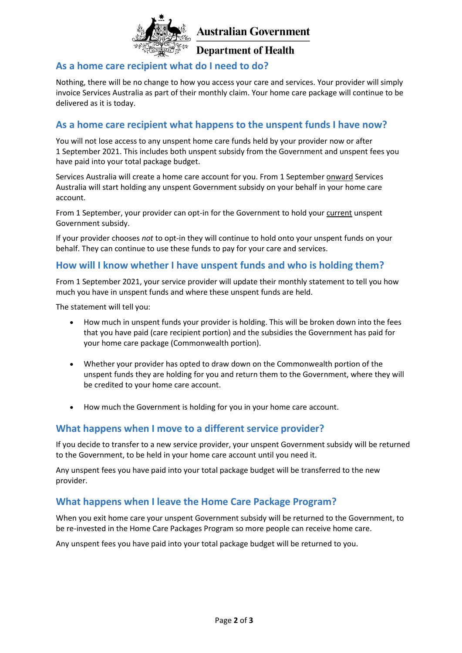

**Department of Health** 

## **As a home care recipient what do I need to do?**

Nothing, there will be no change to how you access your care and services. Your provider will simply invoice Services Australia as part of their monthly claim. Your home care package will continue to be delivered as it is today.

#### **As a home care recipient what happens to the unspent funds I have now?**

You will not lose access to any unspent home care funds held by your provider now or after 1 September 2021. This includes both unspent subsidy from the Government and unspent fees you have paid into your total package budget.

Services Australia will create a home care account for you. From 1 September onward Services Australia will start holding any unspent Government subsidy on your behalf in your home care account.

From 1 September, your provider can opt-in for the Government to hold your current unspent Government subsidy.

If your provider chooses *not* to opt-in they will continue to hold onto your unspent funds on your behalf. They can continue to use these funds to pay for your care and services.

#### **How will I know whether I have unspent funds and who is holding them?**

From 1 September 2021, your service provider will update their monthly statement to tell you how much you have in unspent funds and where these unspent funds are held.

The statement will tell you:

- How much in unspent funds your provider is holding. This will be broken down into the fees that you have paid (care recipient portion) and the subsidies the Government has paid for your home care package (Commonwealth portion).
- Whether your provider has opted to draw down on the Commonwealth portion of the unspent funds they are holding for you and return them to the Government, where they will be credited to your home care account.
- How much the Government is holding for you in your home care account.

## **What happens when I move to a different service provider?**

If you decide to transfer to a new service provider, your unspent Government subsidy will be returned to the Government, to be held in your home care account until you need it.

Any unspent fees you have paid into your total package budget will be transferred to the new provider.

#### **What happens when I leave the Home Care Package Program?**

When you exit home care your unspent Government subsidy will be returned to the Government, to be re-invested in the Home Care Packages Program so more people can receive home care.

Any unspent fees you have paid into your total package budget will be returned to you.